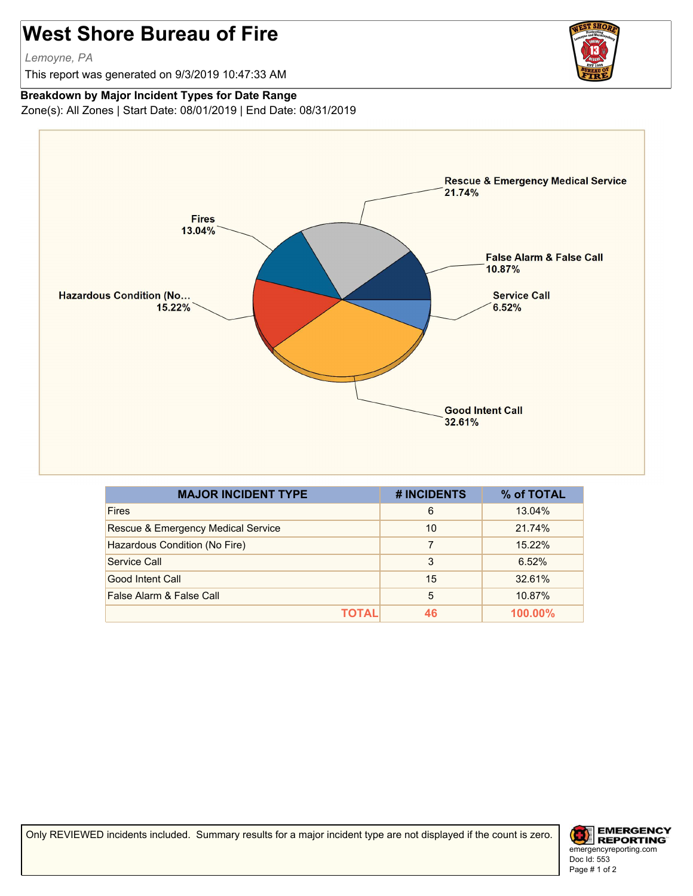## **West Shore Bureau of Fire**

*Lemoyne, PA*

This report was generated on 9/3/2019 10:47:33 AM

## **Breakdown by Major Incident Types for Date Range**

Zone(s): All Zones | Start Date: 08/01/2019 | End Date: 08/31/2019



| <b>MAJOR INCIDENT TYPE</b>         | # INCIDENTS | % of TOTAL |
|------------------------------------|-------------|------------|
| <b>Fires</b>                       | 6           | 13.04%     |
| Rescue & Emergency Medical Service | 10          | 21.74%     |
| Hazardous Condition (No Fire)      | 7           | 15.22%     |
| Service Call                       | 3           | 6.52%      |
| Good Intent Call                   | 15          | 32.61%     |
| False Alarm & False Call           | 5           | 10.87%     |
| ΤΩΤΑΙ                              | 46          | $100.00\%$ |

Only REVIEWED incidents included. Summary results for a major incident type are not displayed if the count is zero.